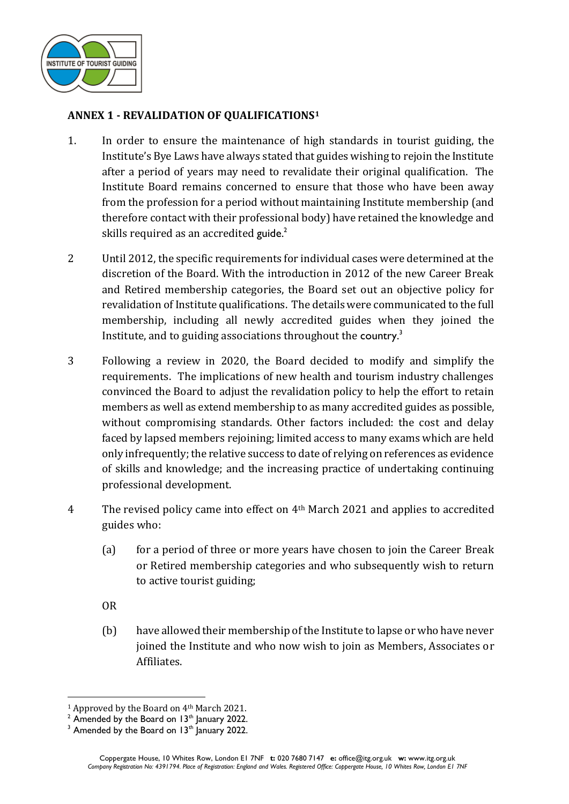

## **ANNEX 1 - REVALIDATION OF QUALIFICATIONS<sup>1</sup>**

- 1. In order to ensure the maintenance of high standards in tourist guiding, the Institute's Bye Laws have always stated that guides wishing to rejoin the Institute after a period of years may need to revalidate their original qualification. The Institute Board remains concerned to ensure that those who have been away from the profession for a period without maintaining Institute membership (and therefore contact with their professional body) have retained the knowledge and skills required as an accredited guide.<sup>2</sup>
- 2 Until 2012, the specific requirements for individual cases were determined at the discretion of the Board. With the introduction in 2012 of the new Career Break and Retired membership categories, the Board set out an objective policy for revalidation of Institute qualifications. The details were communicated to the full membership, including all newly accredited guides when they joined the Institute, and to guiding associations throughout the country.<sup>3</sup>
- 3 Following a review in 2020, the Board decided to modify and simplify the requirements. The implications of new health and tourism industry challenges convinced the Board to adjust the revalidation policy to help the effort to retain members as well as extend membership to as many accredited guides as possible, without compromising standards. Other factors included: the cost and delay faced by lapsed members rejoining; limited access to many exams which are held only infrequently; the relative success to date of relying on references as evidence of skills and knowledge; and the increasing practice of undertaking continuing professional development.
- 4 The revised policy came into effect on 4<sup>th</sup> March 2021 and applies to accredited guides who:
	- (a) for a period of three or more years have chosen to join the Career Break or Retired membership categories and who subsequently wish to return to active tourist guiding;
	- OR
	- (b) have allowed their membership of the Institute to lapse or who have never joined the Institute and who now wish to join as Members, Associates or Affiliates.

<sup>1</sup> Approved by the Board on 4th March 2021.

 $2$  Amended by the Board on 13<sup>th</sup> January 2022.

 $3$  Amended by the Board on 13<sup>th</sup> January 2022.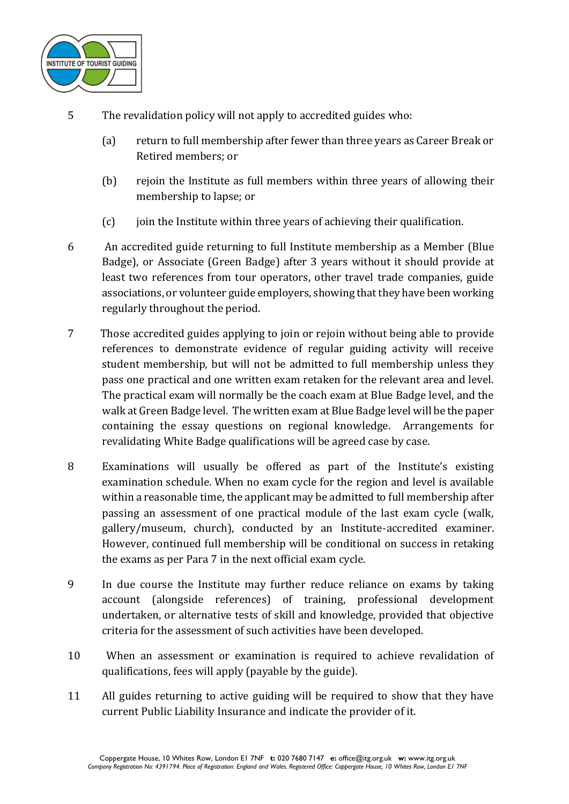

- 5 The revalidation policy will not apply to accredited guides who:
	- (a) return to full membership after fewer than three years as Career Break or Retired members; or
	- (b) rejoin the Institute as full members within three years of allowing their membership to lapse; or
	- (c) join the Institute within three years of achieving their qualification.
- 6 An accredited guide returning to full Institute membership as a Member (Blue Badge), or Associate (Green Badge) after 3 years without it should provide at least two references from tour operators, other travel trade companies, guide associations, or volunteer guide employers, showing that they have been working regularly throughout the period.
- 7 Those accredited guides applying to join or rejoin without being able to provide references to demonstrate evidence of regular guiding activity will receive student membership, but will not be admitted to full membership unless they pass one practical and one written exam retaken for the relevant area and level. The practical exam will normally be the coach exam at Blue Badge level, and the walk at Green Badge level. The written exam at Blue Badge level will be the paper containing the essay questions on regional knowledge. Arrangements for revalidating White Badge qualifications will be agreed case by case.
- 8 Examinations will usually be offered as part of the Institute's existing examination schedule. When no exam cycle for the region and level is available within a reasonable time, the applicant may be admitted to full membership after passing an assessment of one practical module of the last exam cycle (walk, gallery/museum, church), conducted by an Institute-accredited examiner. However, continued full membership will be conditional on success in retaking the exams as per Para 7 in the next official exam cycle.
- 9 In due course the Institute may further reduce reliance on exams by taking account (alongside references) of training, professional development undertaken, or alternative tests of skill and knowledge, provided that objective criteria for the assessment of such activities have been developed.
- 10 When an assessment or examination is required to achieve revalidation of qualifications, fees will apply (payable by the guide).
- 11 All guides returning to active guiding will be required to show that they have current Public Liability Insurance and indicate the provider of it.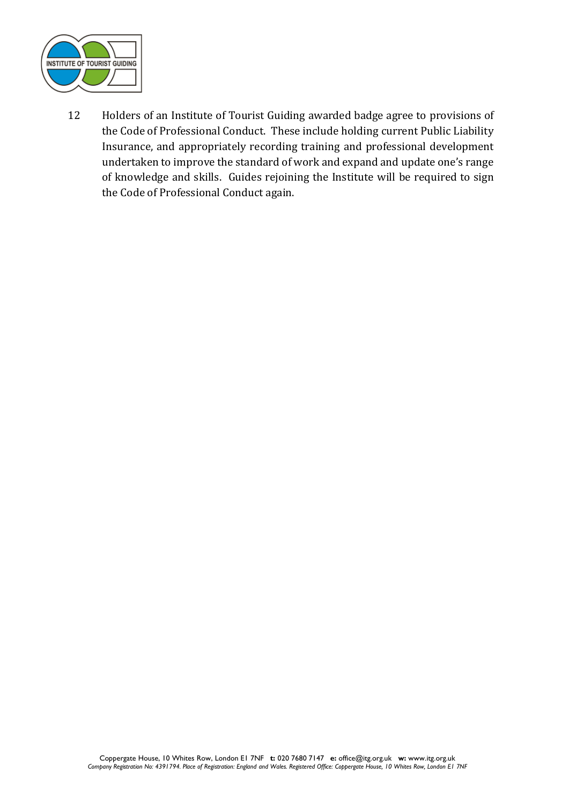

12 Holders of an Institute of Tourist Guiding awarded badge agree to provisions of the Code of Professional Conduct. These include holding current Public Liability Insurance, and appropriately recording training and professional development undertaken to improve the standard of work and expand and update one's range of knowledge and skills. Guides rejoining the Institute will be required to sign the Code of Professional Conduct again.